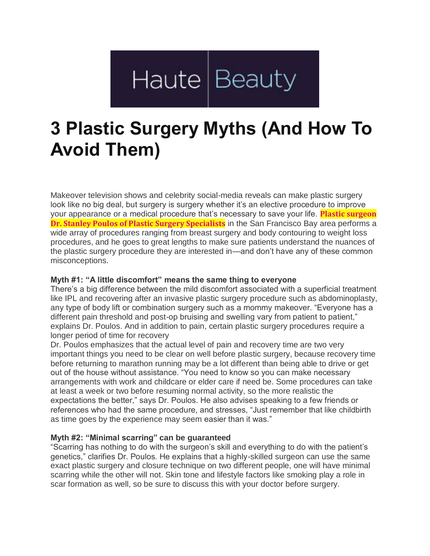# Haute Beauty

## **3 Plastic Surgery Myths (And How To Avoid Them)**

Makeover television shows and celebrity social-media reveals can make plastic surgery look like no big deal, but surgery is surgery whether it's an elective procedure to improve your appearance or a medical procedure that's necessary to save your life. **Plastic [surgeon](https://www.psspecialists.com/about/dr-poulos/) Dr. Stanley Poulos of Plastic Surgery [Specialists](https://www.psspecialists.com/about/dr-poulos/)** in the San Francisco Bay area performs a wide array of procedures ranging from breast surgery and body contouring to weight loss procedures, and he goes to great lengths to make sure patients understand the nuances of the plastic surgery procedure they are interested in—and don't have any of these common misconceptions.

#### **Myth #1: "A little discomfort" means the same thing to everyone**

There's a big difference between the mild discomfort associated with a superficial treatment like IPL and recovering after an invasive plastic surgery procedure such as abdominoplasty, any type of body lift or combination surgery such as a mommy makeover. "Everyone has a different pain threshold and post-op bruising and swelling vary from patient to patient," explains Dr. Poulos. And in addition to pain, certain plastic surgery procedures require a longer period of time for recovery

Dr. Poulos emphasizes that the actual level of pain and recovery time are two very important things you need to be clear on well before plastic surgery, because recovery time before returning to marathon running may be a lot different than being able to drive or get out of the house without assistance. "You need to know so you can make necessary arrangements with work and childcare or elder care if need be. Some procedures can take at least a week or two before resuming normal activity, so the more realistic the expectations the better," says Dr. Poulos. He also advises speaking to a few friends or references who had the same procedure, and stresses, "Just remember that like childbirth as time goes by the experience may seem easier than it was."

### **Myth #2: "Minimal scarring" can be guaranteed**

"Scarring has nothing to do with the surgeon's skill and everything to do with the patient's genetics," clarifies Dr. Poulos. He explains that a highly-skilled surgeon can use the same exact plastic surgery and closure technique on two different people, one will have minimal scarring while the other will not. Skin tone and lifestyle factors like smoking play a role in scar formation as well, so be sure to discuss this with your doctor before surgery.